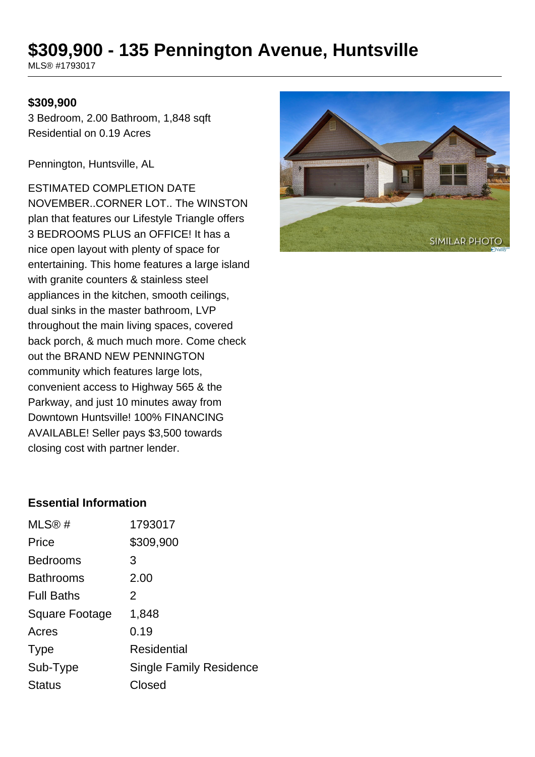# **\$309,900 - 135 Pennington Avenue, Huntsville**

MLS® #1793017

#### **\$309,900**

3 Bedroom, 2.00 Bathroom, 1,848 sqft Residential on 0.19 Acres

Pennington, Huntsville, AL

ESTIMATED COMPLETION DATE NOVEMBER..CORNER LOT.. The WINSTON plan that features our Lifestyle Triangle offers 3 BEDROOMS PLUS an OFFICE! It has a nice open layout with plenty of space for entertaining. This home features a large island with granite counters & stainless steel appliances in the kitchen, smooth ceilings, dual sinks in the master bathroom, LVP throughout the main living spaces, covered back porch, & much much more. Come check out the BRAND NEW PENNINGTON community which features large lots, convenient access to Highway 565 & the Parkway, and just 10 minutes away from Downtown Huntsville! 100% FINANCING AVAILABLE! Seller pays \$3,500 towards closing cost with partner lender.



### **Essential Information**

| MLS®#             | 1793017                        |
|-------------------|--------------------------------|
| Price             | \$309,900                      |
| <b>Bedrooms</b>   | 3                              |
| <b>Bathrooms</b>  | 2.00                           |
| <b>Full Baths</b> | 2                              |
| Square Footage    | 1,848                          |
| Acres             | 0.19                           |
| <b>Type</b>       | <b>Residential</b>             |
| Sub-Type          | <b>Single Family Residence</b> |
| <b>Status</b>     | Closed                         |